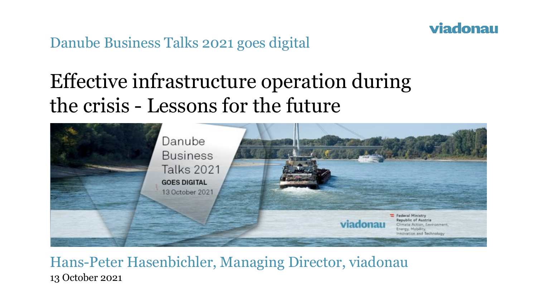

Danube Business Talks 2021 goes digital

# Effective infrastructure operation during the crisis - Lessons for the future



#### Hans-Peter Hasenbichler, Managing Director, viadonau 13 October 2021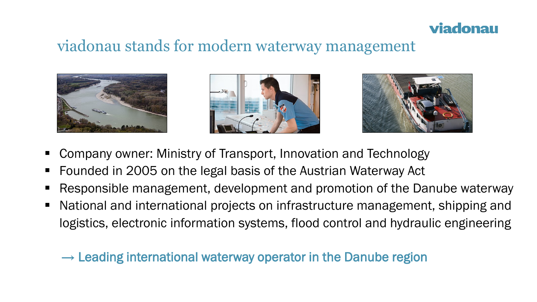### viadonau

### viadonau stands for modern waterway management







- Company owner: Ministry of Transport, Innovation and Technology
- Founded in 2005 on the legal basis of the Austrian Waterway Act
- Responsible management, development and promotion of the Danube waterway
- National and international projects on infrastructure management, shipping and logistics, electronic information systems, flood control and hydraulic engineering

 $\rightarrow$  Leading international waterway operator in the Danube region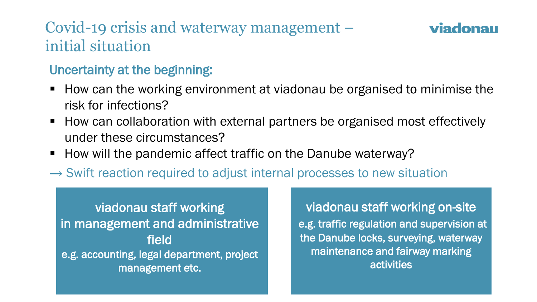# Covid-19 crisis and waterway management – initial situation

### viadonau

### Uncertainty at the beginning:

- How can the working environment at viadonau be organised to minimise the risk for infections?
- How can collaboration with external partners be organised most effectively under these circumstances?
- How will the pandemic affect traffic on the Danube waterway?
- $\rightarrow$  Swift reaction required to adjust internal processes to new situation

### viadonau staff working in management and administrative field e.g. accounting, legal department, project management etc.

viadonau staff working on-site e.g. traffic regulation and supervision at the Danube locks, surveying, waterway maintenance and fairway marking activities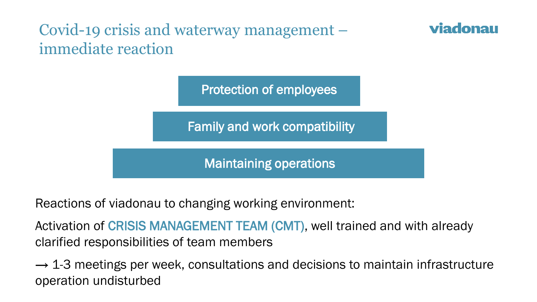# Covid-19 crisis and waterway management – immediate reaction

Protection of employees

viadonau

Family and work compatibility

Maintaining operations

Reactions of viadonau to changing working environment:

Activation of CRISIS MANAGEMENT TEAM (CMT), well trained and with already clarified responsibilities of team members

 $\rightarrow$  1-3 meetings per week, consultations and decisions to maintain infrastructure operation undisturbed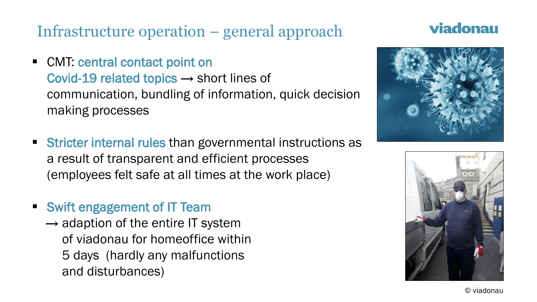# Infrastructure operation – general approach

■ CMT: central contact point on

Covid-19 related topics  $\rightarrow$  short lines of communication, bundling of information, quick decision making processes

- Stricter internal rules than governmental instructions as a result of transparent and efficient processes (employees felt safe at all times at the work place)
- Swift engagement of IT Team
	- $\rightarrow$  adaption of the entire IT system of viadonau for homeoffice within 5 days (hardly any malfunctions and disturbances)

### viadonau





© viadonau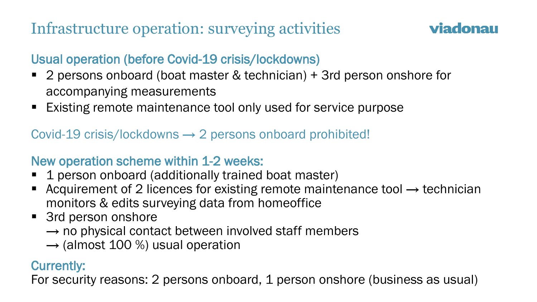# Infrastructure operation: surveying activities

### viadonau

### Usual operation (before Covid-19 crisis/lockdowns)

- 2 persons onboard (boat master & technician) + 3rd person onshore for accompanying measurements
- Existing remote maintenance tool only used for service purpose

Covid-19 crisis/lockdowns  $\rightarrow$  2 persons onboard prohibited!

#### New operation scheme within 1-2 weeks:

- 1 person onboard (additionally trained boat master)
- Acquirement of 2 licences for existing remote maintenance tool  $\rightarrow$  technician monitors & edits surveying data from homeoffice
- 3rd person onshore
	- $\rightarrow$  no physical contact between involved staff members
	- $\rightarrow$  (almost 100 %) usual operation

#### Currently:

For security reasons: 2 persons onboard, 1 person onshore (business as usual)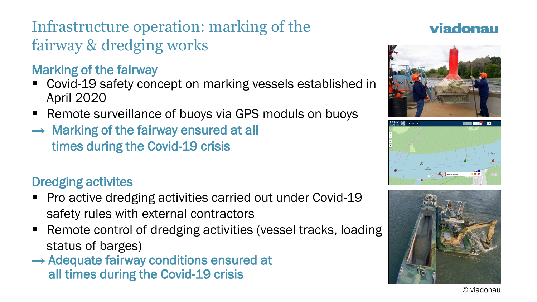# Infrastructure operation: marking of the fairway & dredging works

### Marking of the fairway

- Covid-19 safety concept on marking vessels established in April 2020
- Remote surveillance of buoys via GPS moduls on buoys
- $\rightarrow$  Marking of the fairway ensured at all times during the Covid-19 crisis

### Dredging activites

- Pro active dredging activities carried out under Covid-19 safety rules with external contractors
- Remote control of dredging activities (vessel tracks, loading status of barges)
- $\rightarrow$  Adequate fairway conditions ensured at all times during the Covid-19 crisis

### viadonau







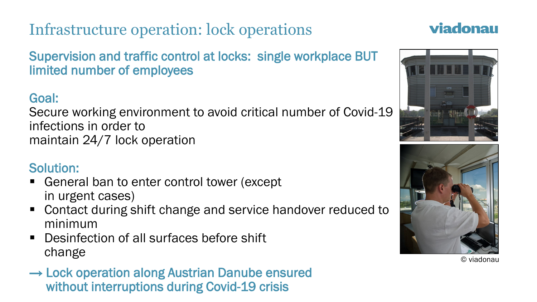# Infrastructure operation: lock operations

Supervision and traffic control at locks: single workplace BUT limited number of employees

### Goal:

Secure working environment to avoid critical number of Covid-19 infections in order to maintain 24/7 lock operation

#### Solution:

- General ban to enter control tower (except in urgent cases)
- Contact during shift change and service handover reduced to minimum
- **Desinfection of all surfaces before shift** change
- $\rightarrow$  Lock operation along Austrian Danube ensured without interruptions during Covid-19 crisis

### viadonau





© viadonau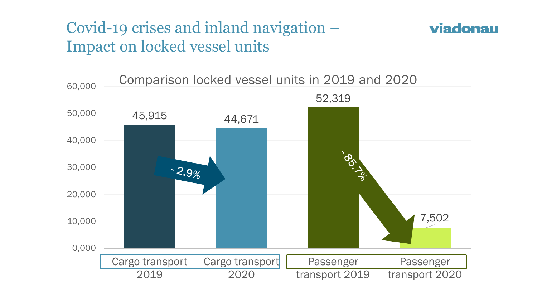## Covid-19 crises and inland navigation – Impact on locked vessel units



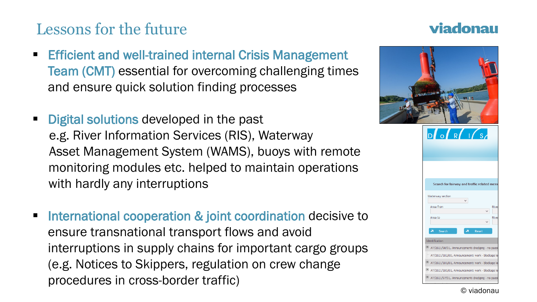# Lessons for the future

- **Efficient and well-trained internal Crisis Management** Team (CMT) essential for overcoming challenging times and ensure quick solution finding processes
- **Digital solutions developed in the past** e.g. River Information Services (RIS), Waterway Asset Management System (WAMS), buoys with remote monitoring modules etc. helped to maintain operations with hardly any interruptions
- International cooperation & joint coordination decisive to ensure transnational transport flows and avoid interruptions in supply chains for important cargo groups (e.g. Notices to Skippers, regulation on crew change procedures in cross-border traffic)

### viadonau



#### © viadonau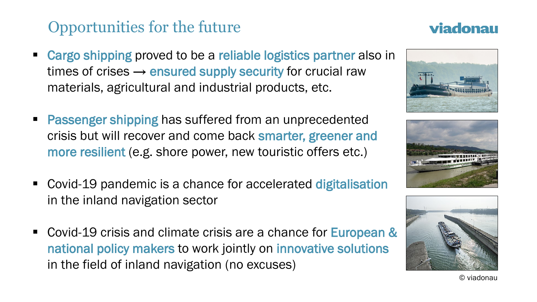# Opportunities for the future

- Cargo shipping proved to be a reliable logistics partner also in times of crises  $\rightarrow$  ensured supply security for crucial raw materials, agricultural and industrial products, etc.
- **Passenger shipping has suffered from an unprecedented** crisis but will recover and come back smarter, greener and more resilient (e.g. shore power, new touristic offers etc.)
- Covid-19 pandemic is a chance for accelerated digitalisation in the inland navigation sector
- Covid-19 crisis and climate crisis are a chance for European & national policy makers to work jointly on innovative solutions in the field of inland navigation (no excuses)







## viadonau

© viadonau